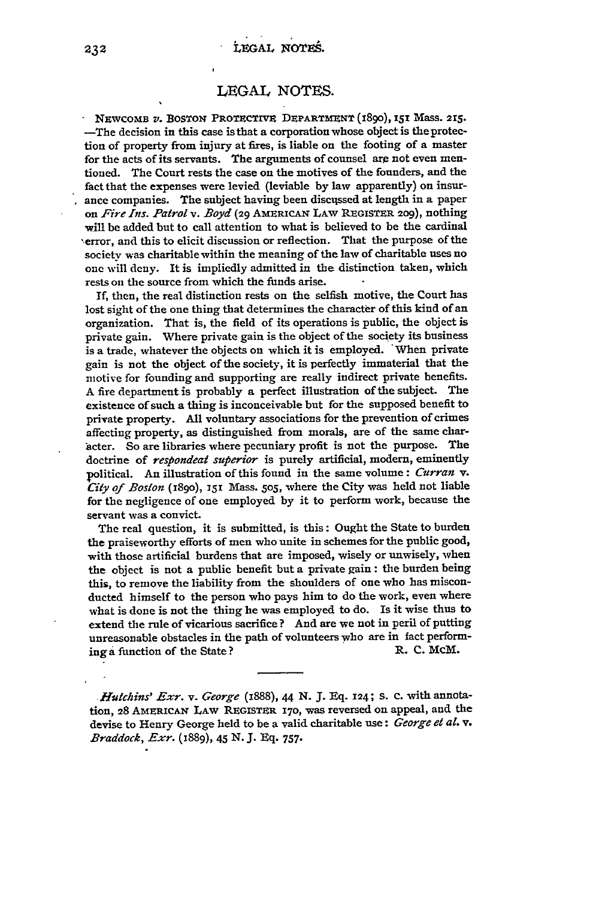## LEGAL NOTES.

NnwcoMB *V.* **BOSTON PROTECTIVE** DEPARTMENT **(I890),** 151 Mass. **215.** -The decision in this case is that a corporation whose object is the protection of property from injury at fires, is liable on the footing of a master for the acts of its servants. The arguments of counsel arp not even mentioned. The Court rests the case on the motives of the founders, and the fact that the expenses were levied (leviable **by** law apparently) on insurance companies. The subject having been discussed at length in a paper on *Fire Ins. Patrol v. Boyd* (29 AMERICAN LAW REGISTER 209), nothing will be added but to call attention to what is believed to be the cardinal 'error, and this to elicit discussion or reflection. That the purpose of the society was charitable within the meaning of the law of charitable uses no one will deny. It is impliedly admitted in the distinction taken, which rests on the source from which the funds arise.

If, then, the real distinction rests on the selfish motive, the Court has lost sight of the one thing that determines the character of this kind of an organization. That is, the field of its operations is public, the object is private gain. Where private gain is the object of the society its business is a trade, whatever the objects on which it is employed. 'When private gain is not the object of the society, it is perfectly immaterial that the motive for founding and supporting are really indirect private benefits. A fire department is probably a perfect illustration of the subject. The existence of such a thing is inconceivable but for the supposed benefit to private property. **All** voluntary associations for the prevention of crimes affecting property, as distinguished from morals, are of the same character. So are libraries where pecuniary profit is not the purpose. The doctrine of *respondeat superior* is purely artificial, modern, eminently political. An illustration of this found in the same volume: *Curran v. City of Boston* **(I89o),** *151* Mass. *505,* where the City was held not liable for the negligence of one employed **by** it to perform work, because the servant was a convict.

The real question, it is submitted, is this: Ought the State to burden the praiseworthy efforts of men who unite in schemes for the public good, with those artificial burdens that are imposed, wisely or unwisely, when the object is not a public benefit but a private gain: the burden being this, to remove the liability from the shoulders of one who has misconducted himself to the person who pays him to do the work, even where what is done is not the thing he was employed to do. Is it wise thus to extend the rule of vicarious sacrifice? And are we not in peril of putting unreasonable obstacles in the path of volunteers who are in fact performing a function of the State? R. **C.** McM.

*Hutchins' Exr. v. George* (1888), **44 N. J. Eq. 124; S.** c. with annotation, **28** AMERICAN LAW REGISTER **170,** was reversed on appeal, and the devise to Henry George held to be a valid charitable use: *George et at.* v. *Braddock, Exr.* (1889), 45 **N. J. Eq. 757.**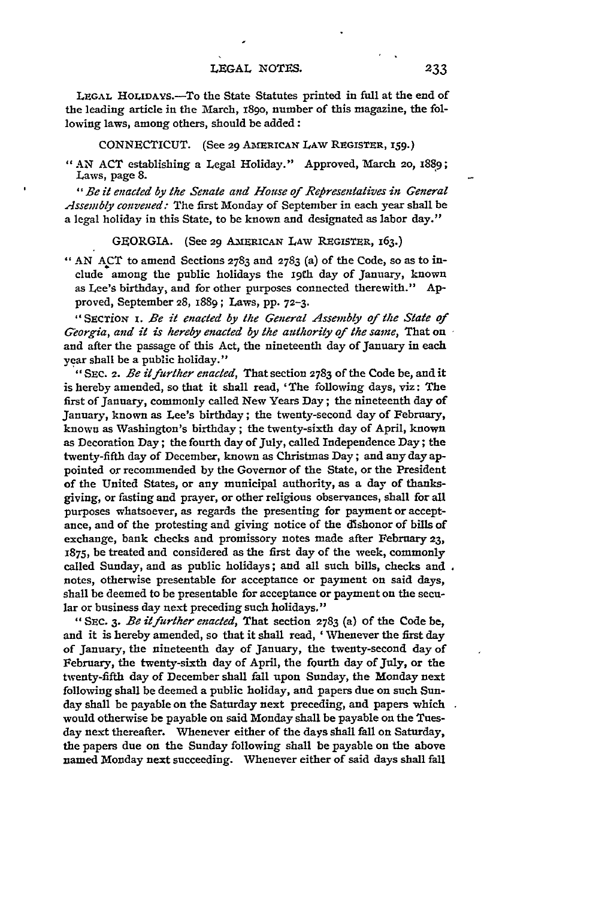LEGAL HOLIDAYS.-To the State Statutes printed in full at the end of the leading article in the March, **189<sup>o</sup> ,** number of this magazine, the following laws, among others, should be added:

**CONNECTICUT.** (See 29 AMERICAN LAW REGISTER, 159.)

**"AN ACT** establishing a Legal Holiday." Approved, March *20,* 1889; Laws, page **8.**

*"Be it enacted by the* Senate and *House of Representatives in General Assembly convened:* The first Monday of September in each year shall be a legal holiday in this State, to be known and designated as labor day."

GIORGIA. (See **29** A1ERICAN LAv REGISTER, **163.)**

**"AN ACT** to amend Sections 2783 and **2783** (a) of the Code, so as to include among the public holidays the 19th day of January, known as Lee's birthday, and for other purposes connected therewith." **Ap**proved, September **28,** 1889; Laws, **pp. 72-3.**

**"** SECTiON I. *Be it enacted by the General Assembly of /the State of Georgia, and it is hereby enacted by the authority of the same,* That on and after the passage of this Act, the nineteenth day of January in each year shall be a public holiday."

**"SEC. 2.** *Be it further enacted,* That section 2783 of the Code be, and it is hereby amended, so that it shall read, 'The following days, viz: The first of January, commonly called New Years Day; the nineteenth day of January, known as Lee's birthday; the twenty-second day of February, known as Washington's birthday; the twenty-sixth day of April, known as Decoration Day; the fourth day of July, called Independence Day; the twenty-fifth day of December, known as Christmas Day; and any day appointed or recommended **by** the Governor of the State, or the President of the United States, or any municipal authority, as a day of thanksgiving, or fasting and prayer, or other religious observances, shall for all purposes whatsoever, as regards the presenting for payment or acceptance, and of the protesting and giving notice of the dishonor of bills of exchange, bank checks and promissory notes made after February **23,** 1875, be treated and considered as the first day of the week, commonly called Sunday, and as public holidays; and all such bills, checks and notes, otherwise presentable for acceptance or payment on said days, shall be deemed to be presentable for acceptance or payment on the secular or business day next preceding such holidays."

"SEC. 3. *Be it further enacted*, That section 2783 (a) of the Code be, and it is hereby amended, so that it shall read, **'** Whenever the first day of January, the nineteenth day of January, the twenty-second day of February, the twenty-sixth day of April, the fourth day of July, or the twenty-fifth day of December shall fall upon Sunday, the Monday next following shall be deemed a public holiday, and papers due on such Sunday shall be payable on the Saturday next preceding, and papers which would otherwise be payable on said Monday shall be payable on the Tuesday next thereafter. Whenever either of the days shall fall on Saturday, the papers due on the Sunday following shall be payable on the above named Monday next succeeding. Whenever either of said days shall fall